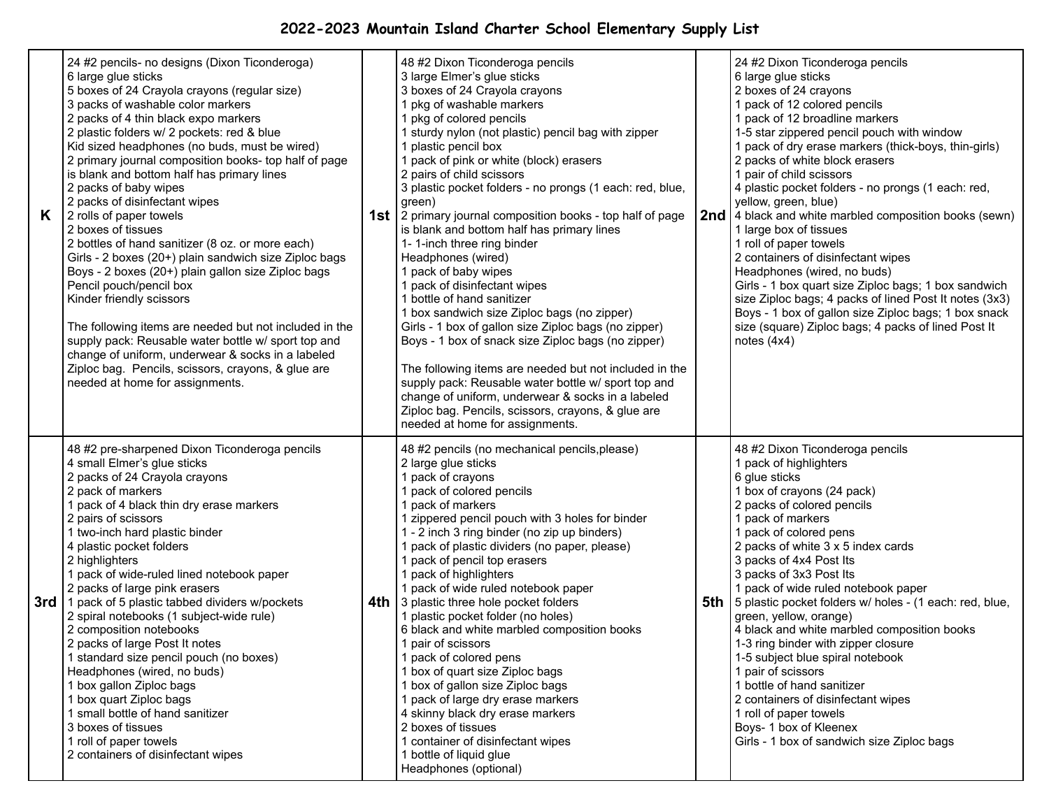## **2022-2023 Mountain Island Charter School Elementary Supply List**

| K. | 24 #2 pencils- no designs (Dixon Ticonderoga)<br>6 large glue sticks<br>5 boxes of 24 Crayola crayons (regular size)<br>3 packs of washable color markers<br>2 packs of 4 thin black expo markers<br>2 plastic folders w/ 2 pockets: red & blue<br>Kid sized headphones (no buds, must be wired)<br>2 primary journal composition books- top half of page<br>is blank and bottom half has primary lines<br>2 packs of baby wipes<br>2 packs of disinfectant wipes<br>2 rolls of paper towels<br>2 boxes of tissues<br>2 bottles of hand sanitizer (8 oz. or more each)<br>Girls - 2 boxes (20+) plain sandwich size Ziploc bags<br>Boys - 2 boxes (20+) plain gallon size Ziploc bags<br>Pencil pouch/pencil box<br>Kinder friendly scissors<br>The following items are needed but not included in the<br>supply pack: Reusable water bottle w/ sport top and<br>change of uniform, underwear & socks in a labeled<br>Ziploc bag. Pencils, scissors, crayons, & glue are<br>needed at home for assignments. | 48 #2 Dixon Ticonderoga pencils<br>3 large Elmer's glue sticks<br>3 boxes of 24 Crayola crayons<br>1 pkg of washable markers<br>1 pkg of colored pencils<br>1 sturdy nylon (not plastic) pencil bag with zipper<br>1 plastic pencil box<br>1 pack of pink or white (block) erasers<br>2 pairs of child scissors<br>3 plastic pocket folders - no prongs (1 each: red, blue,<br>green)<br><b>1st</b>   2 primary journal composition books - top half of page<br>is blank and bottom half has primary lines<br>1-1-inch three ring binder<br>Headphones (wired)<br>1 pack of baby wipes<br>1 pack of disinfectant wipes<br>1 bottle of hand sanitizer<br>1 box sandwich size Ziploc bags (no zipper)<br>Girls - 1 box of gallon size Ziploc bags (no zipper)<br>Boys - 1 box of snack size Ziploc bags (no zipper)<br>The following items are needed but not included in the<br>supply pack: Reusable water bottle w/ sport top and<br>change of uniform, underwear & socks in a labeled<br>Ziploc bag. Pencils, scissors, crayons, & glue are<br>needed at home for assignments. | 24 #2 Dixon Ticonderoga pencils<br>6 large glue sticks<br>2 boxes of 24 crayons<br>1 pack of 12 colored pencils<br>1 pack of 12 broadline markers<br>1-5 star zippered pencil pouch with window<br>1 pack of dry erase markers (thick-boys, thin-girls)<br>2 packs of white block erasers<br>1 pair of child scissors<br>4 plastic pocket folders - no prongs (1 each: red,<br>yellow, green, blue)<br><b>2nd</b> 4 black and white marbled composition books (sewn)<br>1 large box of tissues<br>1 roll of paper towels<br>2 containers of disinfectant wipes<br>Headphones (wired, no buds)<br>Girls - 1 box quart size Ziploc bags; 1 box sandwich<br>size Ziploc bags; 4 packs of lined Post It notes (3x3)<br>Boys - 1 box of gallon size Ziploc bags; 1 box snack<br>size (square) Ziploc bags; 4 packs of lined Post It<br>notes $(4x4)$ |
|----|-------------------------------------------------------------------------------------------------------------------------------------------------------------------------------------------------------------------------------------------------------------------------------------------------------------------------------------------------------------------------------------------------------------------------------------------------------------------------------------------------------------------------------------------------------------------------------------------------------------------------------------------------------------------------------------------------------------------------------------------------------------------------------------------------------------------------------------------------------------------------------------------------------------------------------------------------------------------------------------------------------------|----------------------------------------------------------------------------------------------------------------------------------------------------------------------------------------------------------------------------------------------------------------------------------------------------------------------------------------------------------------------------------------------------------------------------------------------------------------------------------------------------------------------------------------------------------------------------------------------------------------------------------------------------------------------------------------------------------------------------------------------------------------------------------------------------------------------------------------------------------------------------------------------------------------------------------------------------------------------------------------------------------------------------------------------------------------------------------|-------------------------------------------------------------------------------------------------------------------------------------------------------------------------------------------------------------------------------------------------------------------------------------------------------------------------------------------------------------------------------------------------------------------------------------------------------------------------------------------------------------------------------------------------------------------------------------------------------------------------------------------------------------------------------------------------------------------------------------------------------------------------------------------------------------------------------------------------|
|    | 48 #2 pre-sharpened Dixon Ticonderoga pencils<br>4 small Elmer's glue sticks<br>2 packs of 24 Crayola crayons<br>2 pack of markers<br>1 pack of 4 black thin dry erase markers<br>2 pairs of scissors<br>1 two-inch hard plastic binder<br>4 plastic pocket folders<br>2 highlighters<br>1 pack of wide-ruled lined notebook paper<br>2 packs of large pink erasers<br>3rd   1 pack of 5 plastic tabbed dividers w/pockets<br>2 spiral notebooks (1 subject-wide rule)<br>2 composition notebooks<br>2 packs of large Post It notes<br>1 standard size pencil pouch (no boxes)<br>Headphones (wired, no buds)<br>1 box gallon Ziploc bags<br>1 box quart Ziploc bags<br>1 small bottle of hand sanitizer<br>3 boxes of tissues<br>1 roll of paper towels<br>2 containers of disinfectant wipes                                                                                                                                                                                                              | 48 #2 pencils (no mechanical pencils, please)<br>2 large glue sticks<br>1 pack of crayons<br>1 pack of colored pencils<br>1 pack of markers<br>1 zippered pencil pouch with 3 holes for binder<br>1 - 2 inch 3 ring binder (no zip up binders)<br>1 pack of plastic dividers (no paper, please)<br>1 pack of pencil top erasers<br>1 pack of highlighters<br>1 pack of wide ruled notebook paper<br>4th   3 plastic three hole pocket folders<br>1 plastic pocket folder (no holes)<br>6 black and white marbled composition books<br>1 pair of scissors<br>1 pack of colored pens<br>1 box of quart size Ziploc bags<br>1 box of gallon size Ziploc bags<br>1 pack of large dry erase markers<br>4 skinny black dry erase markers<br>2 boxes of tissues<br>1 container of disinfectant wipes<br>1 bottle of liquid glue<br>Headphones (optional)                                                                                                                                                                                                                                | 48 #2 Dixon Ticonderoga pencils<br>1 pack of highlighters<br>6 glue sticks<br>1 box of crayons (24 pack)<br>2 packs of colored pencils<br>1 pack of markers<br>1 pack of colored pens<br>2 packs of white 3 x 5 index cards<br>3 packs of 4x4 Post Its<br>3 packs of 3x3 Post Its<br>1 pack of wide ruled notebook paper<br><b>5th</b> 5 plastic pocket folders w/ holes - (1 each: red, blue,<br>green, yellow, orange)<br>4 black and white marbled composition books<br>1-3 ring binder with zipper closure<br>1-5 subject blue spiral notebook<br>1 pair of scissors<br>1 bottle of hand sanitizer<br>2 containers of disinfectant wipes<br>1 roll of paper towels<br>Boys- 1 box of Kleenex<br>Girls - 1 box of sandwich size Ziploc bags                                                                                                  |